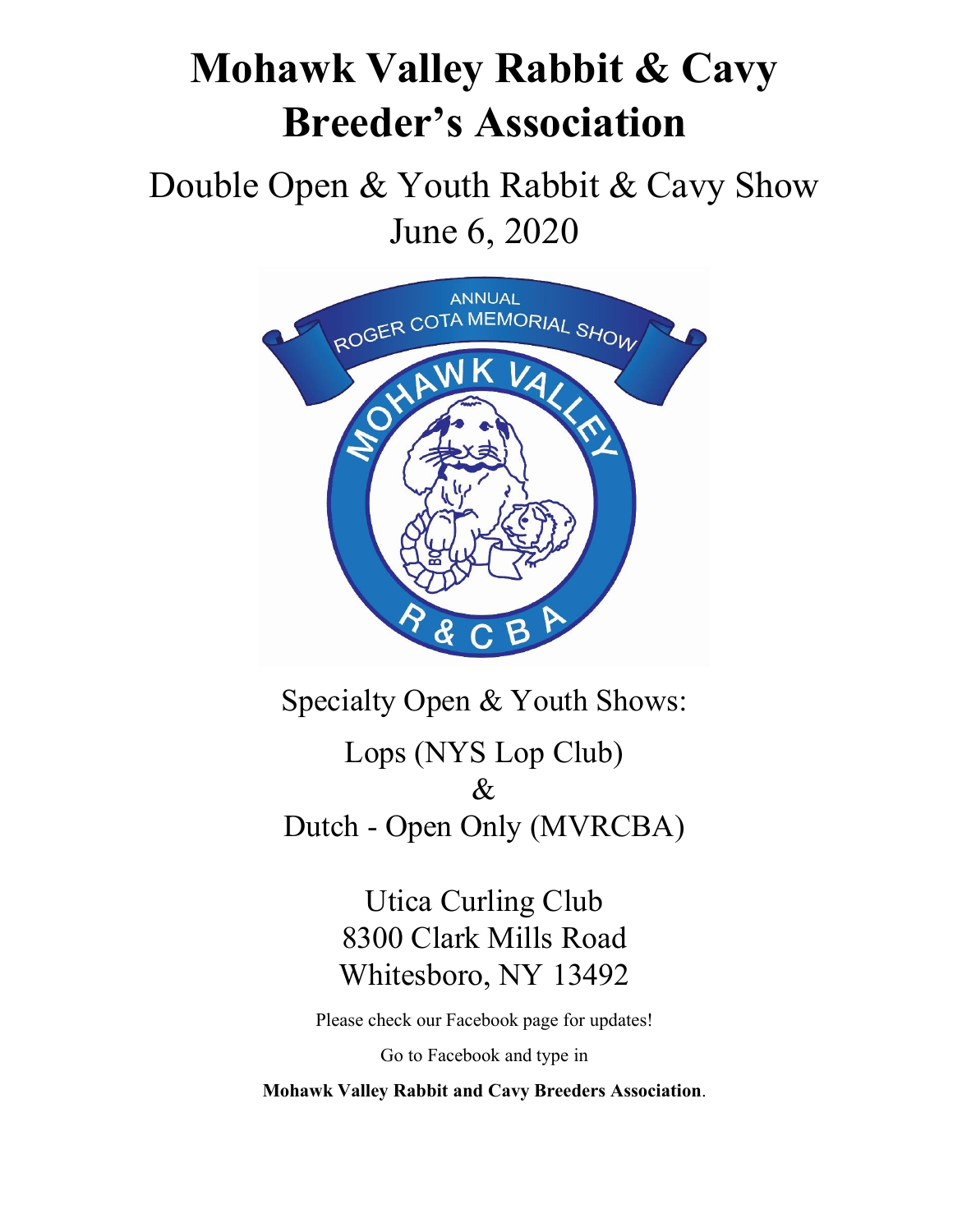# **Mohawk Valley Rabbit & Cavy Breeder's Association**

Double Open & Youth Rabbit & Cavy Show June 6, 2020



Specialty Open & Youth Shows:

Lops (NYS Lop Club) & Dutch - Open Only (MVRCBA)

> Utica Curling Club 8300 Clark Mills Road Whitesboro, NY 13492

Please check our Facebook page for updates!

Go to Facebook and type in

**Mohawk Valley Rabbit and Cavy Breeders Association**.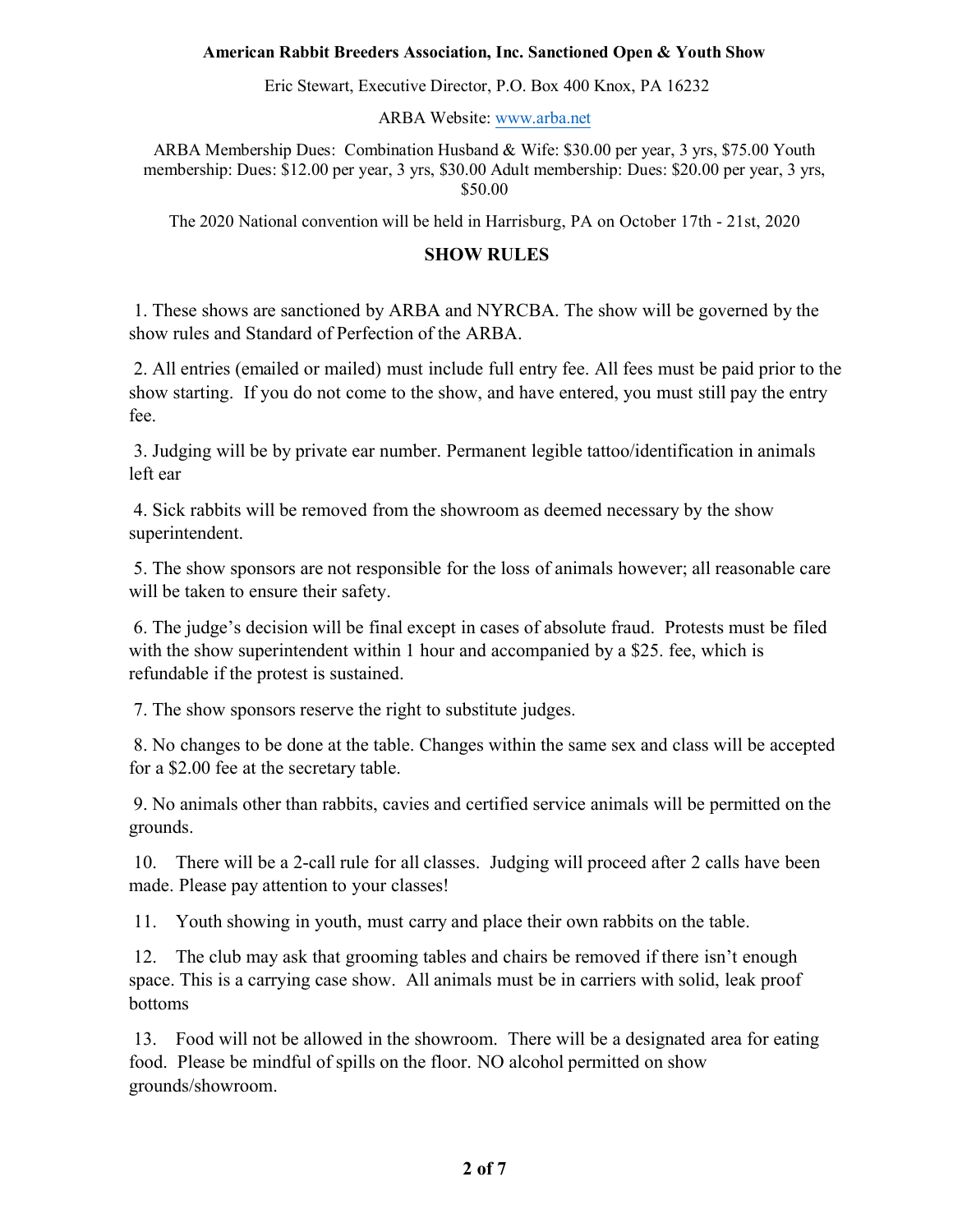#### **American Rabbit Breeders Association, Inc. Sanctioned Open & Youth Show**

Eric Stewart, Executive Director, P.O. Box 400 Knox, PA 16232

ARBA Website: www.arba.net

ARBA Membership Dues: Combination Husband & Wife: \$30.00 per year, 3 yrs, \$75.00 Youth membership: Dues: \$12.00 per year, 3 yrs, \$30.00 Adult membership: Dues: \$20.00 per year, 3 yrs, \$50.00

The 2020 National convention will be held in Harrisburg, PA on October 17th - 21st, 2020

#### **SHOW RULES**

1. These shows are sanctioned by ARBA and NYRCBA. The show will be governed by the show rules and Standard of Perfection of the ARBA.

 All entries (emailed or mailed) must include full entry fee. All fees must be paid prior to the show starting. If you do not come to the show, and have entered, you must still pay the entry fee.

 Judging will be by private ear number. Permanent legible tattoo/identification in animals left ear

4. Sick rabbits will be removed from the showroom as deemed necessary by the show superintendent.

 The show sponsors are not responsible for the loss of animals however; all reasonable care will be taken to ensure their safety.

 The judge's decision will be final except in cases of absolute fraud. Protests must be filed with the show superintendent within 1 hour and accompanied by a \$25. fee, which is refundable if the protest is sustained.

The show sponsors reserve the right to substitute judges.

 No changes to be done at the table. Changes within the same sex and class will be accepted for a \$2.00 fee at the secretary table.

 No animals other than rabbits, cavies and certified service animals will be permitted on the grounds.

 There will be a 2-call rule for all classes. Judging will proceed after 2 calls have been made. Please pay attention to your classes!

Youth showing in youth, must carry and place their own rabbits on the table.

12. The club may ask that grooming tables and chairs be removed if there isn't enough space. This is a carrying case show. All animals must be in carriers with solid, leak proof bottoms

 Food will not be allowed in the showroom. There will be a designated area for eating food. Please be mindful of spills on the floor. NO alcohol permitted on show grounds/showroom.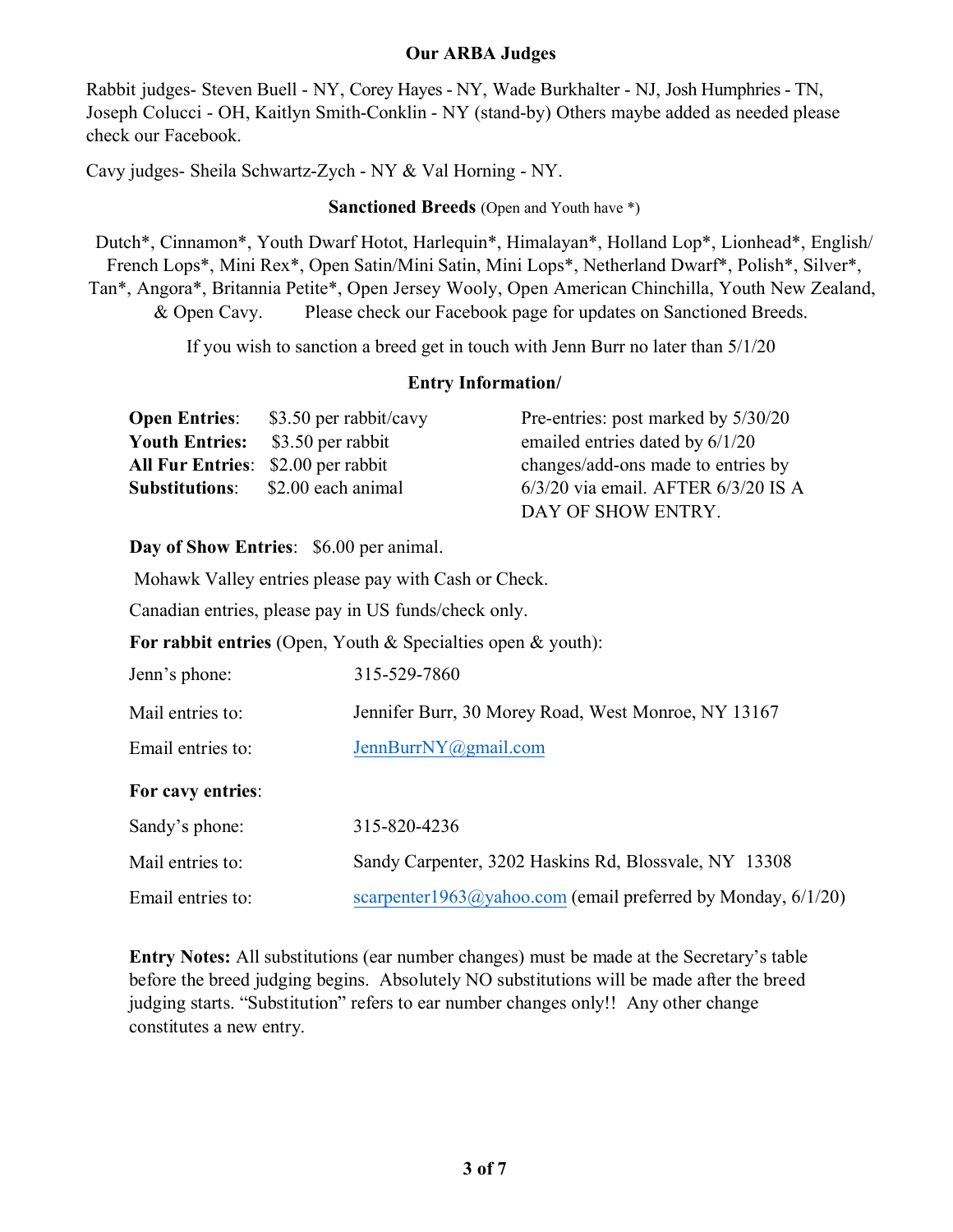## **Our ARBA Judges**

Rabbit judges- Steven Buell - NY, Corey Hayes - NY, Wade Burkhalter - NJ, Josh Humphries - TN, Joseph Colucci - OH, Kaitlyn Smith-Conklin - NY (stand-by) Others maybe added as needed please check our Facebook.

Cavy judges- Sheila Schwartz-Zych - NY & Val Horning - NY.

#### **Sanctioned Breeds** (Open and Youth have \*)

Dutch\*, Cinnamon\*, Youth Dwarf Hotot, Harlequin\*, Himalayan\*, Holland Lop\*, Lionhead\*, English/ French Lops\*, Mini Rex\*, Open Satin/Mini Satin, Mini Lops\*, Netherland Dwarf\*, Polish\*, Silver\*, Tan\*, Angora\*, Britannia Petite\*, Open Jersey Wooly, Open American Chinchilla, Youth New Zealand, & Open Cavy. Please check our Facebook page for updates on Sanctioned Breeds.

If you wish to sanction a breed get in touch with Jenn Burr no later than  $5/1/20$ 

## **Entry Information/**

| <b>Open Entries:</b> | \$3.50 per rabbit/cavy                    | Pre-entries: post marked by 5/30/20     |
|----------------------|-------------------------------------------|-----------------------------------------|
|                      | <b>Youth Entries:</b> \$3.50 per rabbit   | emailed entries dated by 6/1/20         |
|                      | <b>All Fur Entries:</b> \$2.00 per rabbit | changes/add-ons made to entries by      |
|                      | <b>Substitutions:</b> \$2.00 each animal  | $6/3/20$ via email. AFTER $6/3/20$ IS A |
|                      |                                           | DAY OF SHOW ENTRY.                      |

#### **Day of Show Entries**: \$6.00 per animal.

Mohawk Valley entries please pay with Cash or Check.

Canadian entries, please pay in US funds/check only.

**For rabbit entries** (Open, Youth & Specialties open & youth):

| Jenn's phone:     | 315-529-7860                                                 |  |  |  |
|-------------------|--------------------------------------------------------------|--|--|--|
| Mail entries to:  | Jennifer Burr, 30 Morey Road, West Monroe, NY 13167          |  |  |  |
| Email entries to: | JennBurrNY@gmail.com                                         |  |  |  |
| For cavy entries: |                                                              |  |  |  |
| Sandy's phone:    | 315-820-4236                                                 |  |  |  |
| Mail entries to:  | Sandy Carpenter, 3202 Haskins Rd, Blossvale, NY 13308        |  |  |  |
| Email entries to: | scarpenter1963@yahoo.com (email preferred by Monday, 6/1/20) |  |  |  |

**Entry Notes:** All substitutions (ear number changes) must be made at the Secretary's table before the breed judging begins. Absolutely NO substitutions will be made after the breed judging starts. "Substitution" refers to ear number changes only!! Any other change constitutes a new entry.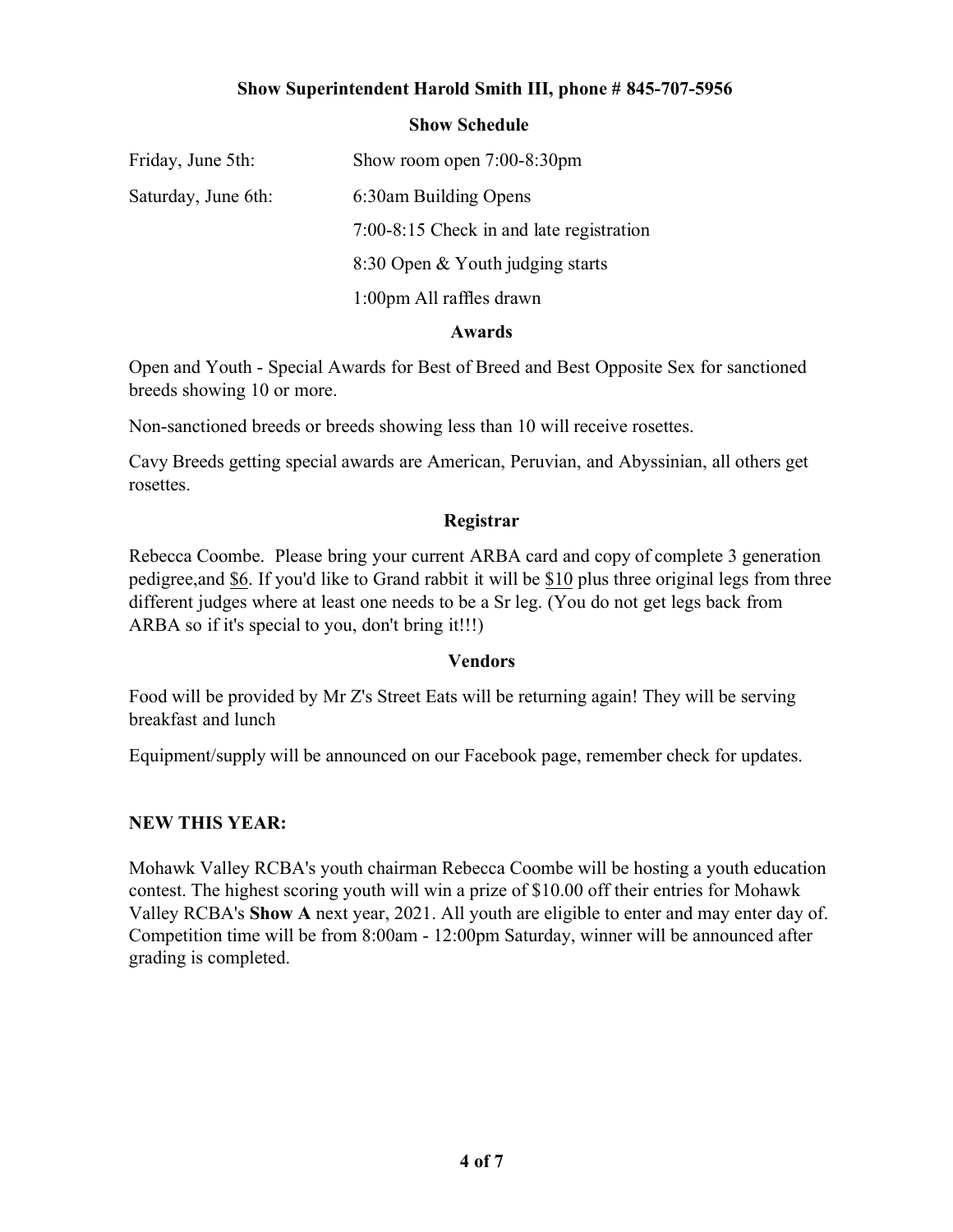## **Show Superintendent Harold Smith III, phone # 845-707-5956**

#### **Show Schedule**

| Friday, June 5th:   | Show room open $7:00-8:30$ pm            |
|---------------------|------------------------------------------|
| Saturday, June 6th: | 6:30am Building Opens                    |
|                     | 7:00-8:15 Check in and late registration |
|                     | 8:30 Open & Youth judging starts         |
|                     | 1:00pm All raffles drawn                 |
|                     |                                          |

#### **Awards**

Open and Youth - Special Awards for Best of Breed and Best Opposite Sex for sanctioned breeds showing 10 or more.

Non-sanctioned breeds or breeds showing less than 10 will receive rosettes.

Cavy Breeds getting special awards are American, Peruvian, and Abyssinian, all others get rosettes.

#### **Registrar**

Rebecca Coombe. Please bring your current ARBA card and copy of complete 3 generation pedigree,and \$6. If you'd like to Grand rabbit it will be \$10 plus three original legs from three different judges where at least one needs to be a Sr leg. (You do not get legs back from ARBA so if it's special to you, don't bring it!!!)

#### **Vendors**

Food will be provided by Mr Z's Street Eats will be returning again! They will be serving breakfast and lunch

Equipment/supply will be announced on our Facebook page, remember check for updates.

## **NEW THIS YEAR:**

Mohawk Valley RCBA's youth chairman Rebecca Coombe will be hosting a youth education contest. The highest scoring youth will win a prize of  $$10.00$  off their entries for Mohawk Valley RCBA's Show A next year, 2021. All youth are eligible to enter and may enter day of. Competition time will be from 8:00am - 12:00pm Saturday, winner will be announced after grading is completed.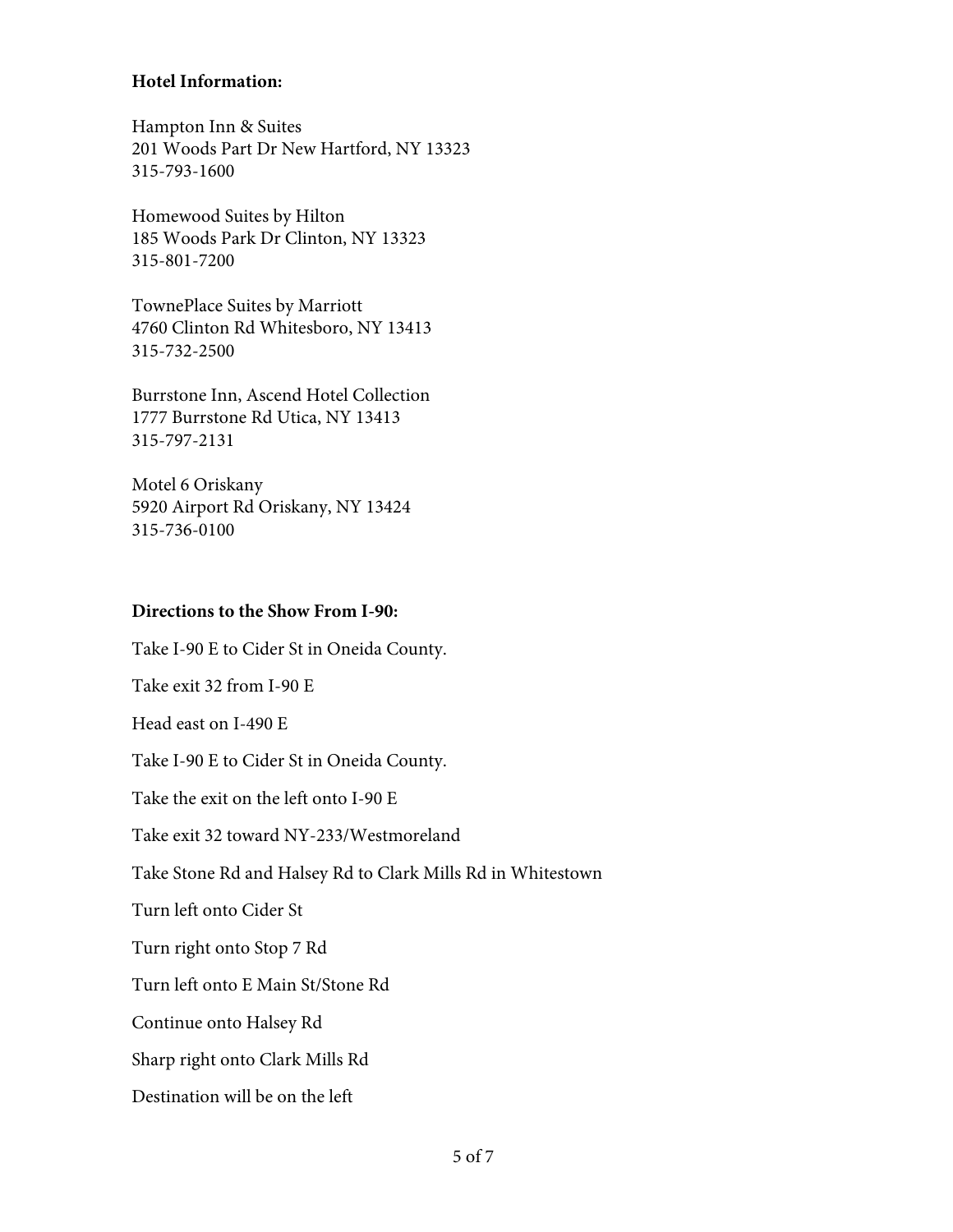## **Hotel Information:**

Hampton Inn & Suites 201 Woods Part Dr New Hartford, NY 13323 315-793-1600

Homewood Suites by Hilton 185 Woods Park Dr Clinton, NY 13323 315-801-7200

TownePlace Suites by Marriott 4760 Clinton Rd Whitesboro, NY 13413 315-732-2500

Burrstone Inn, Ascend Hotel Collection 1777 Burrstone Rd Utica, NY 13413 315-797-2131

Motel 6 Oriskany 5920 Airport Rd Oriskany, NY 13424 315-736-0100

### **Directions to the Show From I-90:**

Take I-90 E to Cider St in Oneida County. Take exit 32 from I-90 E Head east on I-490 E Take I-90 E to Cider St in Oneida County. Take the exit on the left onto  $I-90E$ Take exit 32 toward NY-233/Westmoreland Take Stone Rd and Halsey Rd to Clark Mills Rd in Whitestown Turn left onto Cider St Turn right onto Stop 7 Rd Turn left onto E Main St/Stone Rd Continue onto Halsey Rd Sharp right onto Clark Mills Rd. Destination will be on the left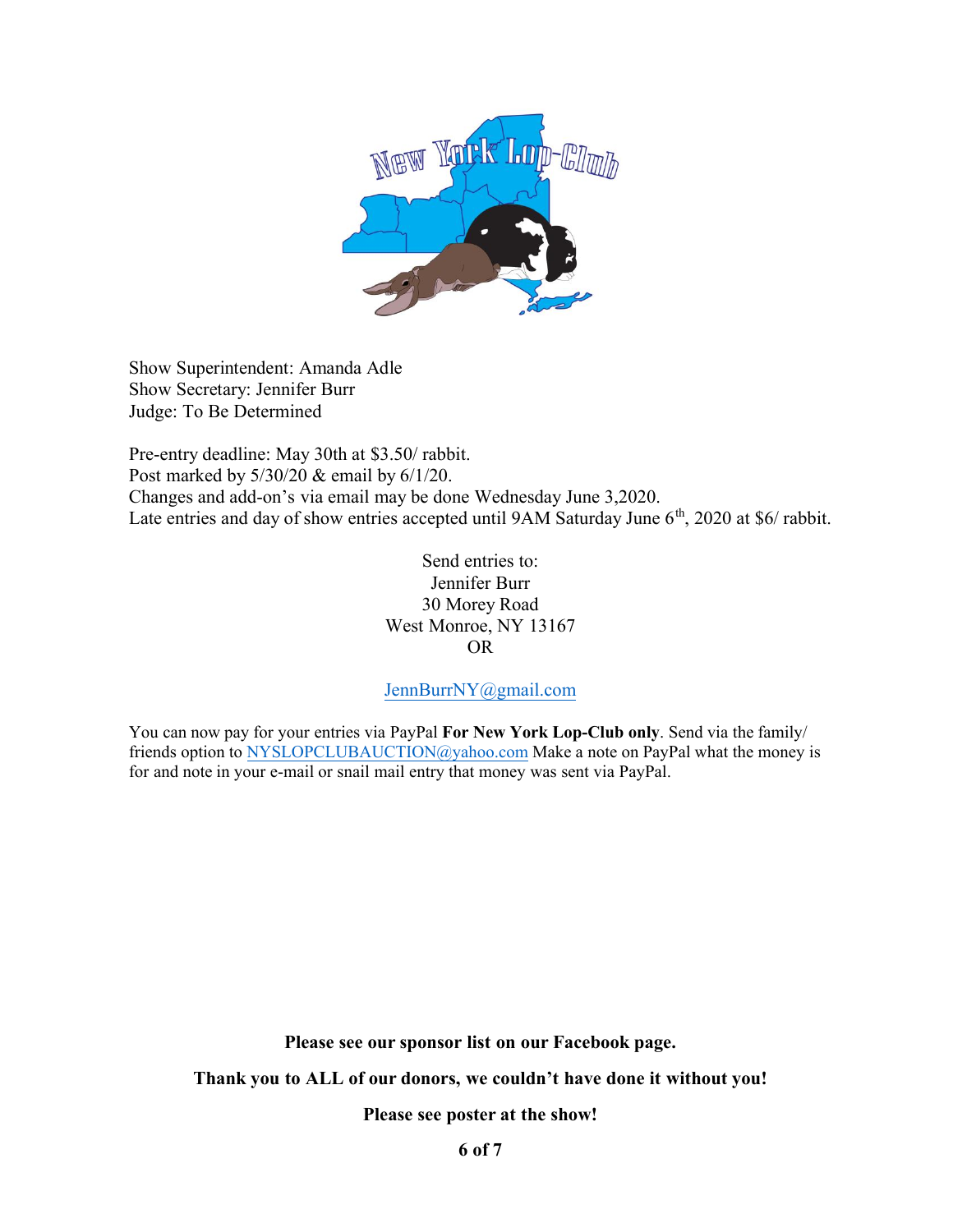

Show Superintendent: Amanda Adle Show Secretary: Jennifer Burr Judge: To Be Determined

Pre-entry deadline: May 30th at \$3.50/ rabbit. Post marked by  $5/30/20$  & email by  $6/1/20$ . Changes and add-on's via email may be done Wednesday June 3,2020. Late entries and day of show entries accepted until  $9AM$  Saturday June  $6<sup>th</sup>$ , 2020 at \$6/ rabbit.

> Send entries to: Jennifer Burr 30 Morey Road West Monroe, NY 13167 OR

#### JennBurrNY@gmail.com

You can now pay for your entries via PayPal For New York Lop-Club only. Send via the family/ friends option to NYSLOPCLUBAUCTION@yahoo.com Make a note on PayPal what the money is for and note in your e-mail or snail mail entry that money was sent via PayPal.

**Please see our sponsor list on our Facebook page.**

**Thank you to ALL of our donors, we couldn't have done it without you!**

**Please see poster at the show!**